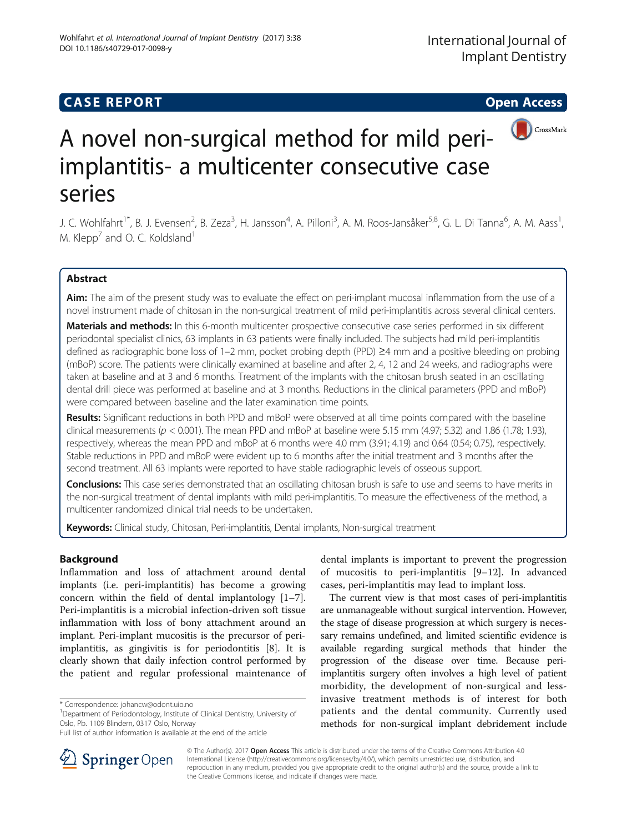## **CASE REPORT CASE REPORT CASE REPORT**





# A novel non-surgical method for mild periimplantitis- a multicenter consecutive case series

J. C. Wohlfahrt<sup>1\*</sup>, B. J. Evensen<sup>2</sup>, B. Zeza<sup>3</sup>, H. Jansson<sup>4</sup>, A. Pilloni<sup>3</sup>, A. M. Roos-Jansåker<sup>5,8</sup>, G. L. Di Tanna<sup>6</sup>, A. M. Aass<sup>1</sup> , M. Klepp<sup>7</sup> and O. C. Koldsland<sup>1</sup>

## Abstract

Aim: The aim of the present study was to evaluate the effect on peri-implant mucosal inflammation from the use of a novel instrument made of chitosan in the non-surgical treatment of mild peri-implantitis across several clinical centers.

Materials and methods: In this 6-month multicenter prospective consecutive case series performed in six different periodontal specialist clinics, 63 implants in 63 patients were finally included. The subjects had mild peri-implantitis defined as radiographic bone loss of 1–2 mm, pocket probing depth (PPD) ≥4 mm and a positive bleeding on probing (mBoP) score. The patients were clinically examined at baseline and after 2, 4, 12 and 24 weeks, and radiographs were taken at baseline and at 3 and 6 months. Treatment of the implants with the chitosan brush seated in an oscillating dental drill piece was performed at baseline and at 3 months. Reductions in the clinical parameters (PPD and mBoP) were compared between baseline and the later examination time points.

Results: Significant reductions in both PPD and mBoP were observed at all time points compared with the baseline clinical measurements ( $p < 0.001$ ). The mean PPD and mBoP at baseline were 5.15 mm (4.97; 5.32) and 1.86 (1.78; 1.93), respectively, whereas the mean PPD and mBoP at 6 months were 4.0 mm (3.91; 4.19) and 0.64 (0.54; 0.75), respectively. Stable reductions in PPD and mBoP were evident up to 6 months after the initial treatment and 3 months after the second treatment. All 63 implants were reported to have stable radiographic levels of osseous support.

Conclusions: This case series demonstrated that an oscillating chitosan brush is safe to use and seems to have merits in the non-surgical treatment of dental implants with mild peri-implantitis. To measure the effectiveness of the method, a multicenter randomized clinical trial needs to be undertaken.

Keywords: Clinical study, Chitosan, Peri-implantitis, Dental implants, Non-surgical treatment

## Background

Inflammation and loss of attachment around dental implants (i.e. peri-implantitis) has become a growing concern within the field of dental implantology [\[1](#page-6-0)–[7](#page-6-0)]. Peri-implantitis is a microbial infection-driven soft tissue inflammation with loss of bony attachment around an implant. Peri-implant mucositis is the precursor of periimplantitis, as gingivitis is for periodontitis [[8\]](#page-6-0). It is clearly shown that daily infection control performed by the patient and regular professional maintenance of



The current view is that most cases of peri-implantitis are unmanageable without surgical intervention. However, the stage of disease progression at which surgery is necessary remains undefined, and limited scientific evidence is available regarding surgical methods that hinder the progression of the disease over time. Because periimplantitis surgery often involves a high level of patient morbidity, the development of non-surgical and lessinvasive treatment methods is of interest for both patients and the dental community. Currently used methods for non-surgical implant debridement include



© The Author(s). 2017 **Open Access** This article is distributed under the terms of the Creative Commons Attribution 4.0 International License ([http://creativecommons.org/licenses/by/4.0/\)](http://creativecommons.org/licenses/by/4.0/), which permits unrestricted use, distribution, and reproduction in any medium, provided you give appropriate credit to the original author(s) and the source, provide a link to the Creative Commons license, and indicate if changes were made.

<sup>\*</sup> Correspondence: [johancw@odont.uio.no](mailto:johancw@odont.uio.no) <sup>1</sup>

<sup>&</sup>lt;sup>1</sup>Department of Periodontology, Institute of Clinical Dentistry, University of Oslo, Pb. 1109 Blindern, 0317 Oslo, Norway

Full list of author information is available at the end of the article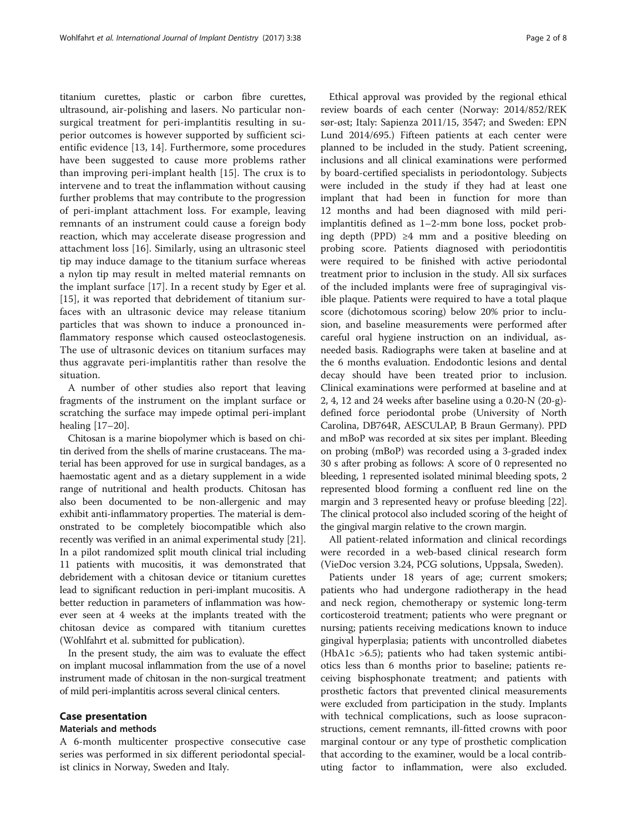titanium curettes, plastic or carbon fibre curettes, ultrasound, air-polishing and lasers. No particular nonsurgical treatment for peri-implantitis resulting in superior outcomes is however supported by sufficient scientific evidence [[13, 14](#page-6-0)]. Furthermore, some procedures have been suggested to cause more problems rather than improving peri-implant health [[15](#page-6-0)]. The crux is to intervene and to treat the inflammation without causing further problems that may contribute to the progression of peri-implant attachment loss. For example, leaving remnants of an instrument could cause a foreign body reaction, which may accelerate disease progression and attachment loss [[16\]](#page-6-0). Similarly, using an ultrasonic steel tip may induce damage to the titanium surface whereas a nylon tip may result in melted material remnants on the implant surface [[17\]](#page-6-0). In a recent study by Eger et al. [[15\]](#page-6-0), it was reported that debridement of titanium surfaces with an ultrasonic device may release titanium particles that was shown to induce a pronounced inflammatory response which caused osteoclastogenesis. The use of ultrasonic devices on titanium surfaces may thus aggravate peri-implantitis rather than resolve the situation.

A number of other studies also report that leaving fragments of the instrument on the implant surface or scratching the surface may impede optimal peri-implant healing [\[17](#page-6-0)–[20\]](#page-6-0).

Chitosan is a marine biopolymer which is based on chitin derived from the shells of marine crustaceans. The material has been approved for use in surgical bandages, as a haemostatic agent and as a dietary supplement in a wide range of nutritional and health products. Chitosan has also been documented to be non-allergenic and may exhibit anti-inflammatory properties. The material is demonstrated to be completely biocompatible which also recently was verified in an animal experimental study [[21](#page-6-0)]. In a pilot randomized split mouth clinical trial including 11 patients with mucositis, it was demonstrated that debridement with a chitosan device or titanium curettes lead to significant reduction in peri-implant mucositis. A better reduction in parameters of inflammation was however seen at 4 weeks at the implants treated with the chitosan device as compared with titanium curettes (Wohlfahrt et al. submitted for publication).

In the present study, the aim was to evaluate the effect on implant mucosal inflammation from the use of a novel instrument made of chitosan in the non-surgical treatment of mild peri-implantitis across several clinical centers.

## Case presentation

#### Materials and methods

A 6-month multicenter prospective consecutive case series was performed in six different periodontal specialist clinics in Norway, Sweden and Italy.

Ethical approval was provided by the regional ethical review boards of each center (Norway: 2014/852/REK sør-øst; Italy: Sapienza 2011/15, 3547; and Sweden: EPN Lund 2014/695.) Fifteen patients at each center were planned to be included in the study. Patient screening, inclusions and all clinical examinations were performed by board-certified specialists in periodontology. Subjects were included in the study if they had at least one implant that had been in function for more than 12 months and had been diagnosed with mild periimplantitis defined as 1–2-mm bone loss, pocket probing depth (PPD) ≥4 mm and a positive bleeding on probing score. Patients diagnosed with periodontitis were required to be finished with active periodontal treatment prior to inclusion in the study. All six surfaces of the included implants were free of supragingival visible plaque. Patients were required to have a total plaque score (dichotomous scoring) below 20% prior to inclusion, and baseline measurements were performed after careful oral hygiene instruction on an individual, asneeded basis. Radiographs were taken at baseline and at the 6 months evaluation. Endodontic lesions and dental decay should have been treated prior to inclusion. Clinical examinations were performed at baseline and at 2, 4, 12 and 24 weeks after baseline using a 0.20-N (20-g) defined force periodontal probe (University of North Carolina, DB764R, AESCULAP, B Braun Germany). PPD and mBoP was recorded at six sites per implant. Bleeding on probing (mBoP) was recorded using a 3-graded index 30 s after probing as follows: A score of 0 represented no bleeding, 1 represented isolated minimal bleeding spots, 2 represented blood forming a confluent red line on the margin and 3 represented heavy or profuse bleeding [[22](#page-6-0)]. The clinical protocol also included scoring of the height of the gingival margin relative to the crown margin.

All patient-related information and clinical recordings were recorded in a web-based clinical research form (VieDoc version 3.24, PCG solutions, Uppsala, Sweden).

Patients under 18 years of age; current smokers; patients who had undergone radiotherapy in the head and neck region, chemotherapy or systemic long-term corticosteroid treatment; patients who were pregnant or nursing; patients receiving medications known to induce gingival hyperplasia; patients with uncontrolled diabetes (HbA1c >6.5); patients who had taken systemic antibiotics less than 6 months prior to baseline; patients receiving bisphosphonate treatment; and patients with prosthetic factors that prevented clinical measurements were excluded from participation in the study. Implants with technical complications, such as loose supraconstructions, cement remnants, ill-fitted crowns with poor marginal contour or any type of prosthetic complication that according to the examiner, would be a local contributing factor to inflammation, were also excluded.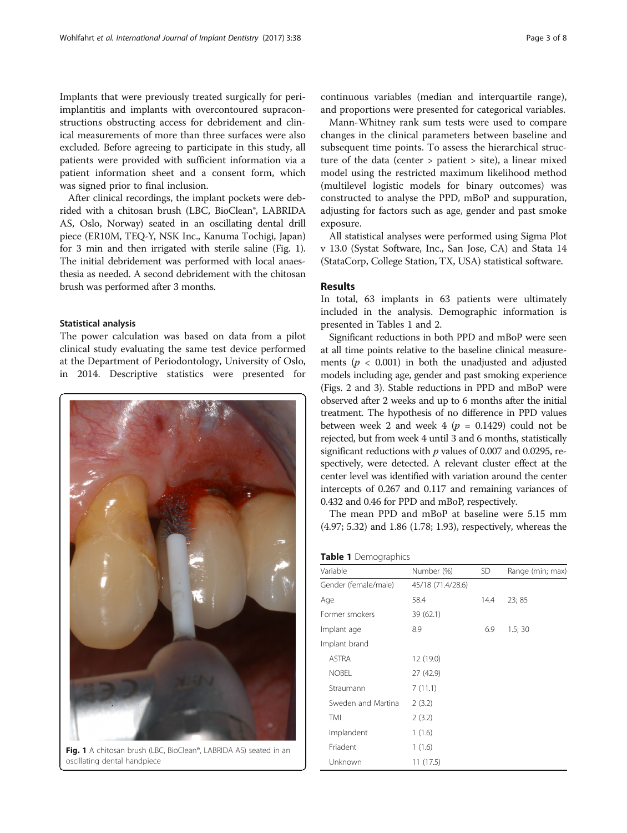Implants that were previously treated surgically for periimplantitis and implants with overcontoured supraconstructions obstructing access for debridement and clinical measurements of more than three surfaces were also excluded. Before agreeing to participate in this study, all patients were provided with sufficient information via a patient information sheet and a consent form, which was signed prior to final inclusion.

After clinical recordings, the implant pockets were debrided with a chitosan brush (LBC, BioClean®, LABRIDA AS, Oslo, Norway) seated in an oscillating dental drill piece (ER10M, TEQ-Y, NSK Inc., Kanuma Tochigi, Japan) for 3 min and then irrigated with sterile saline (Fig. 1). The initial debridement was performed with local anaesthesia as needed. A second debridement with the chitosan brush was performed after 3 months.

#### Statistical analysis

The power calculation was based on data from a pilot clinical study evaluating the same test device performed at the Department of Periodontology, University of Oslo, in 2014. Descriptive statistics were presented for



Fig. 1 A chitosan brush (LBC, BioClean®, LABRIDA AS) seated in an oscillating dental handpiece

continuous variables (median and interquartile range), and proportions were presented for categorical variables.

Mann-Whitney rank sum tests were used to compare changes in the clinical parameters between baseline and subsequent time points. To assess the hierarchical structure of the data (center > patient > site), a linear mixed model using the restricted maximum likelihood method (multilevel logistic models for binary outcomes) was constructed to analyse the PPD, mBoP and suppuration, adjusting for factors such as age, gender and past smoke exposure.

All statistical analyses were performed using Sigma Plot v 13.0 (Systat Software, Inc., San Jose, CA) and Stata 14 (StataCorp, College Station, TX, USA) statistical software.

## Results

In total, 63 implants in 63 patients were ultimately included in the analysis. Demographic information is presented in Tables 1 and [2.](#page-3-0)

Significant reductions in both PPD and mBoP were seen at all time points relative to the baseline clinical measurements ( $p < 0.001$ ) in both the unadjusted and adjusted models including age, gender and past smoking experience (Figs. [2](#page-3-0) and [3](#page-3-0)). Stable reductions in PPD and mBoP were observed after 2 weeks and up to 6 months after the initial treatment. The hypothesis of no difference in PPD values between week 2 and week 4 ( $p = 0.1429$ ) could not be rejected, but from week 4 until 3 and 6 months, statistically significant reductions with  $p$  values of 0.007 and 0.0295, respectively, were detected. A relevant cluster effect at the center level was identified with variation around the center intercepts of 0.267 and 0.117 and remaining variances of 0.432 and 0.46 for PPD and mBoP, respectively.

The mean PPD and mBoP at baseline were 5.15 mm (4.97; 5.32) and 1.86 (1.78; 1.93), respectively, whereas the

|  | Table 1 Demographics |  |
|--|----------------------|--|
|--|----------------------|--|

| Variable             | Number (%)        | SD   | Range (min; max) |
|----------------------|-------------------|------|------------------|
| Gender (female/male) | 45/18 (71.4/28.6) |      |                  |
| Age                  | 58.4              | 14.4 | 23; 85           |
| Former smokers       | 39 (62.1)         |      |                  |
| Implant age          | 8.9               | 6.9  | 1.5; 30          |
| Implant brand        |                   |      |                  |
| <b>ASTRA</b>         | 12 (19.0)         |      |                  |
| <b>NOBEL</b>         | 27 (42.9)         |      |                  |
| Straumann            | 7(11.1)           |      |                  |
| Sweden and Martina   | 2(3.2)            |      |                  |
| <b>TMI</b>           | 2(3.2)            |      |                  |
| Implandent           | 1(1.6)            |      |                  |
| Friadent             | 1(1.6)            |      |                  |
| Unknown              | 11 (17.5)         |      |                  |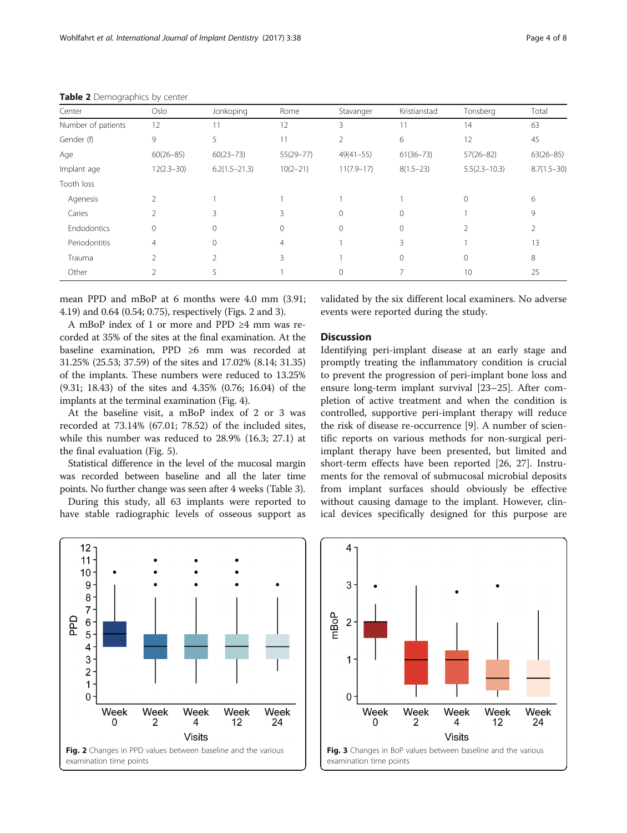| Center             | Oslo           | Jonkoping         | Rome          | Stavanger     | Kristianstad  | Tonsberg          | Total         |
|--------------------|----------------|-------------------|---------------|---------------|---------------|-------------------|---------------|
| Number of patients | 12             | 11                | 12            | 3             |               | 14                | 63            |
| Gender (f)         | 9              | 5                 | 11            | 2             | 6             | 12                | 45            |
| Age                | $60(26 - 85)$  | $60(23 - 73)$     | $55(29 - 77)$ | $49(41 - 55)$ | $61(36 - 73)$ | $57(26 - 82)$     | $63(26 - 85)$ |
| Implant age        | $12(2.3 - 30)$ | $6.2(1.5 - 21.3)$ | $10(2 - 21)$  | $11(7.9-17)$  | $8(1.5-23)$   | $5.5(2.3 - 10.3)$ | $8.7(1.5-30)$ |
| Tooth loss         |                |                   |               |               |               |                   |               |
| Agenesis           |                |                   |               |               |               | $\Omega$          | 6             |
| Caries             | 2              | ζ                 | Β             | $\Omega$      | $\Omega$      |                   | 9             |
| Endodontics        | 0              | 0                 | $\Omega$      | $\Omega$      |               |                   |               |
| Periodontitis      | 4              | $\Omega$          | 4             |               | 3             |                   | 13            |
| Trauma             |                |                   | 3             |               |               | 0                 | 8             |
| Other              |                |                   |               | 0             |               | 10                | 25            |

<span id="page-3-0"></span>Table 2 Demographics by center

mean PPD and mBoP at 6 months were 4.0 mm (3.91; 4.19) and 0.64 (0.54; 0.75), respectively (Figs. 2 and 3).

A mBoP index of 1 or more and PPD ≥4 mm was recorded at 35% of the sites at the final examination. At the baseline examination, PPD ≥6 mm was recorded at 31.25% (25.53; 37.59) of the sites and 17.02% (8.14; 31.35) of the implants. These numbers were reduced to 13.25% (9.31; 18.43) of the sites and 4.35% (0.76; 16.04) of the implants at the terminal examination (Fig. [4](#page-4-0)).

At the baseline visit, a mBoP index of 2 or 3 was recorded at 73.14% (67.01; 78.52) of the included sites, while this number was reduced to 28.9% (16.3; 27.1) at the final evaluation (Fig. [5\)](#page-4-0).

Statistical difference in the level of the mucosal margin was recorded between baseline and all the later time points. No further change was seen after 4 weeks (Table [3\)](#page-5-0).

During this study, all 63 implants were reported to have stable radiographic levels of osseous support as



## **Discussion**

Identifying peri-implant disease at an early stage and promptly treating the inflammatory condition is crucial to prevent the progression of peri-implant bone loss and ensure long-term implant survival [[23](#page-6-0)–[25](#page-6-0)]. After completion of active treatment and when the condition is controlled, supportive peri-implant therapy will reduce the risk of disease re-occurrence [[9\]](#page-6-0). A number of scientific reports on various methods for non-surgical periimplant therapy have been presented, but limited and short-term effects have been reported [[26, 27](#page-6-0)]. Instruments for the removal of submucosal microbial deposits from implant surfaces should obviously be effective without causing damage to the implant. However, clinical devices specifically designed for this purpose are



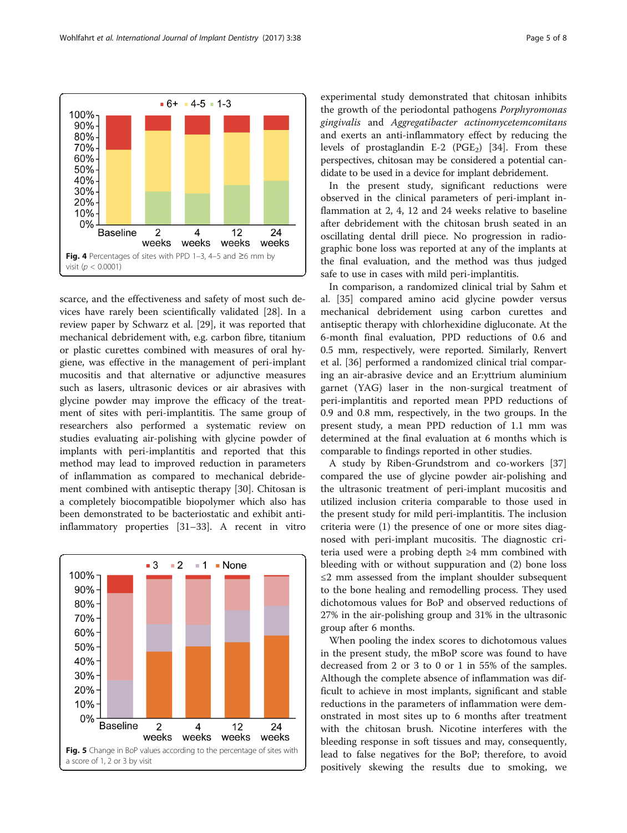scarce, and the effectiveness and safety of most such devices have rarely been scientifically validated [\[28](#page-6-0)]. In a review paper by Schwarz et al. [[29\]](#page-6-0), it was reported that mechanical debridement with, e.g. carbon fibre, titanium or plastic curettes combined with measures of oral hygiene, was effective in the management of peri-implant mucositis and that alternative or adjunctive measures such as lasers, ultrasonic devices or air abrasives with glycine powder may improve the efficacy of the treatment of sites with peri-implantitis. The same group of researchers also performed a systematic review on studies evaluating air-polishing with glycine powder of implants with peri-implantitis and reported that this method may lead to improved reduction in parameters of inflammation as compared to mechanical debridement combined with antiseptic therapy [[30\]](#page-6-0). Chitosan is a completely biocompatible biopolymer which also has been demonstrated to be bacteriostatic and exhibit antiinflammatory properties [[31](#page-6-0)–[33](#page-7-0)]. A recent in vitro

Fig. 4 Percentages of sites with PPD 1–3, 4–5 and  $\geq$ 6 mm by

 $\overline{2}$ 

weeks

visit ( $p < 0.0001$ )

**Baseline** 

<span id="page-4-0"></span>100% 90% 80% 70% 60% 50% 40% 30% 20% 10% 0%



experimental study demonstrated that chitosan inhibits the growth of the periodontal pathogens Porphyromonas gingivalis and Aggregatibacter actinomycetemcomitans and exerts an anti-inflammatory effect by reducing the levels of prostaglandin E-2 (PGE<sub>2</sub>) [[34](#page-7-0)]. From these perspectives, chitosan may be considered a potential candidate to be used in a device for implant debridement.

In the present study, significant reductions were observed in the clinical parameters of peri-implant inflammation at 2, 4, 12 and 24 weeks relative to baseline after debridement with the chitosan brush seated in an oscillating dental drill piece. No progression in radiographic bone loss was reported at any of the implants at the final evaluation, and the method was thus judged safe to use in cases with mild peri-implantitis.

In comparison, a randomized clinical trial by Sahm et al. [[35\]](#page-7-0) compared amino acid glycine powder versus mechanical debridement using carbon curettes and antiseptic therapy with chlorhexidine digluconate. At the 6-month final evaluation, PPD reductions of 0.6 and 0.5 mm, respectively, were reported. Similarly, Renvert et al. [\[36\]](#page-7-0) performed a randomized clinical trial comparing an air-abrasive device and an Er:yttrium aluminium garnet (YAG) laser in the non-surgical treatment of peri-implantitis and reported mean PPD reductions of 0.9 and 0.8 mm, respectively, in the two groups. In the present study, a mean PPD reduction of 1.1 mm was determined at the final evaluation at 6 months which is comparable to findings reported in other studies.

A study by Riben-Grundstrom and co-workers [[37](#page-7-0)] compared the use of glycine powder air-polishing and the ultrasonic treatment of peri-implant mucositis and utilized inclusion criteria comparable to those used in the present study for mild peri-implantitis. The inclusion criteria were (1) the presence of one or more sites diagnosed with peri-implant mucositis. The diagnostic criteria used were a probing depth ≥4 mm combined with bleeding with or without suppuration and (2) bone loss ≤2 mm assessed from the implant shoulder subsequent to the bone healing and remodelling process. They used dichotomous values for BoP and observed reductions of 27% in the air-polishing group and 31% in the ultrasonic group after 6 months.

When pooling the index scores to dichotomous values in the present study, the mBoP score was found to have decreased from 2 or 3 to 0 or 1 in 55% of the samples. Although the complete absence of inflammation was difficult to achieve in most implants, significant and stable reductions in the parameters of inflammation were demonstrated in most sites up to 6 months after treatment with the chitosan brush. Nicotine interferes with the bleeding response in soft tissues and may, consequently, lead to false negatives for the BoP; therefore, to avoid positively skewing the results due to smoking, we

 $-6+ -4-5 - 1-3$ 

4

weeks weeks

24

weeks

12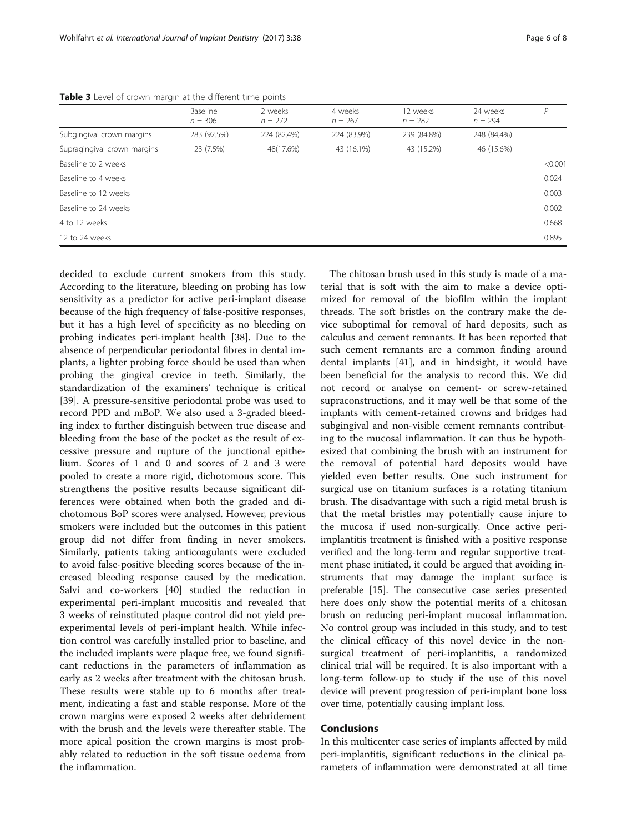|                             | Baseline<br>$n = 306$ | 2 weeks<br>$n = 272$ | 4 weeks<br>$n = 267$ | 12 weeks<br>$n = 282$ | 24 weeks<br>$n = 294$ | $\overline{P}$ |
|-----------------------------|-----------------------|----------------------|----------------------|-----------------------|-----------------------|----------------|
| Subgingival crown margins   | 283 (92.5%)           | 224 (82.4%)          | 224 (83.9%)          | 239 (84.8%)           | 248 (84,4%)           |                |
| Supragingival crown margins | 23 (7.5%)             | 48(17.6%)            | 43 (16.1%)           | 43 (15.2%)            | 46 (15.6%)            |                |
| Baseline to 2 weeks         |                       |                      |                      |                       |                       | < 0.001        |
| Baseline to 4 weeks         |                       |                      |                      |                       |                       | 0.024          |
| Baseline to 12 weeks        |                       |                      |                      |                       |                       | 0.003          |
| Baseline to 24 weeks        |                       |                      |                      |                       |                       | 0.002          |
| 4 to 12 weeks               |                       |                      |                      |                       |                       | 0.668          |
| 12 to 24 weeks              |                       |                      |                      |                       |                       | 0.895          |

<span id="page-5-0"></span>Table 3 Level of crown margin at the different time points

decided to exclude current smokers from this study. According to the literature, bleeding on probing has low sensitivity as a predictor for active peri-implant disease because of the high frequency of false-positive responses, but it has a high level of specificity as no bleeding on probing indicates peri-implant health [[38\]](#page-7-0). Due to the absence of perpendicular periodontal fibres in dental implants, a lighter probing force should be used than when probing the gingival crevice in teeth. Similarly, the standardization of the examiners' technique is critical [[39\]](#page-7-0). A pressure-sensitive periodontal probe was used to record PPD and mBoP. We also used a 3-graded bleeding index to further distinguish between true disease and bleeding from the base of the pocket as the result of excessive pressure and rupture of the junctional epithelium. Scores of 1 and 0 and scores of 2 and 3 were pooled to create a more rigid, dichotomous score. This strengthens the positive results because significant differences were obtained when both the graded and dichotomous BoP scores were analysed. However, previous smokers were included but the outcomes in this patient group did not differ from finding in never smokers. Similarly, patients taking anticoagulants were excluded to avoid false-positive bleeding scores because of the increased bleeding response caused by the medication. Salvi and co-workers [\[40\]](#page-7-0) studied the reduction in experimental peri-implant mucositis and revealed that 3 weeks of reinstituted plaque control did not yield preexperimental levels of peri-implant health. While infection control was carefully installed prior to baseline, and the included implants were plaque free, we found significant reductions in the parameters of inflammation as early as 2 weeks after treatment with the chitosan brush. These results were stable up to 6 months after treatment, indicating a fast and stable response. More of the crown margins were exposed 2 weeks after debridement with the brush and the levels were thereafter stable. The more apical position the crown margins is most probably related to reduction in the soft tissue oedema from the inflammation.

The chitosan brush used in this study is made of a material that is soft with the aim to make a device optimized for removal of the biofilm within the implant threads. The soft bristles on the contrary make the device suboptimal for removal of hard deposits, such as calculus and cement remnants. It has been reported that such cement remnants are a common finding around dental implants [\[41\]](#page-7-0), and in hindsight, it would have been beneficial for the analysis to record this. We did not record or analyse on cement- or screw-retained supraconstructions, and it may well be that some of the implants with cement-retained crowns and bridges had subgingival and non-visible cement remnants contributing to the mucosal inflammation. It can thus be hypothesized that combining the brush with an instrument for the removal of potential hard deposits would have yielded even better results. One such instrument for surgical use on titanium surfaces is a rotating titanium brush. The disadvantage with such a rigid metal brush is that the metal bristles may potentially cause injure to the mucosa if used non-surgically. Once active periimplantitis treatment is finished with a positive response verified and the long-term and regular supportive treatment phase initiated, it could be argued that avoiding instruments that may damage the implant surface is preferable [[15\]](#page-6-0). The consecutive case series presented here does only show the potential merits of a chitosan brush on reducing peri-implant mucosal inflammation. No control group was included in this study, and to test the clinical efficacy of this novel device in the nonsurgical treatment of peri-implantitis, a randomized clinical trial will be required. It is also important with a long-term follow-up to study if the use of this novel device will prevent progression of peri-implant bone loss over time, potentially causing implant loss.

## Conclusions

In this multicenter case series of implants affected by mild peri-implantitis, significant reductions in the clinical parameters of inflammation were demonstrated at all time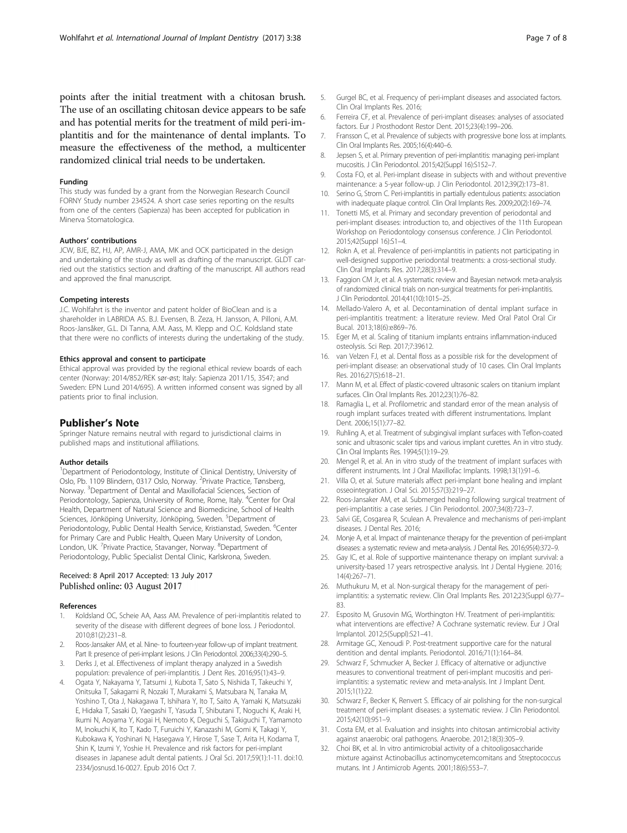<span id="page-6-0"></span>points after the initial treatment with a chitosan brush. The use of an oscillating chitosan device appears to be safe and has potential merits for the treatment of mild peri-implantitis and for the maintenance of dental implants. To measure the effectiveness of the method, a multicenter randomized clinical trial needs to be undertaken.

#### Funding

This study was funded by a grant from the Norwegian Research Council FORNY Study number 234524. A short case series reporting on the results from one of the centers (Sapienza) has been accepted for publication in Minerva Stomatologica.

#### Authors' contributions

JCW, BJE, BZ, HJ, AP, AMR-J, AMA, MK and OCK participated in the design and undertaking of the study as well as drafting of the manuscript. GLDT carried out the statistics section and drafting of the manuscript. All authors read and approved the final manuscript.

#### Competing interests

J.C. Wohlfahrt is the inventor and patent holder of BioClean and is a shareholder in LABRIDA AS. B.J. Evensen, B. Zeza, H. Jansson, A. Pilloni, A.M. Roos-Jansåker, G.L. Di Tanna, A.M. Aass, M. Klepp and O.C. Koldsland state that there were no conflicts of interests during the undertaking of the study.

#### Ethics approval and consent to participate

Ethical approval was provided by the regional ethical review boards of each center (Norway: 2014/852/REK sør-øst; Italy: Sapienza 2011/15, 3547; and Sweden: EPN Lund 2014/695). A written informed consent was signed by all patients prior to final inclusion.

#### Publisher's Note

Springer Nature remains neutral with regard to jurisdictional claims in published maps and institutional affiliations.

#### Author details

<sup>1</sup>Department of Periodontology, Institute of Clinical Dentistry, University of Oslo, Pb. 1109 Blindern, 0317 Oslo, Norway. <sup>2</sup>Private Practice, Tønsberg, Norway. <sup>3</sup>Department of Dental and Maxillofacial Sciences, Section of Periodontology, Sapienza, University of Rome, Rome, Italy. <sup>4</sup>Center for Oral Health, Department of Natural Science and Biomedicine, School of Health Sciences, Jönköping University, Jönköping, Sweden. <sup>5</sup>Department of Periodontology, Public Dental Health Service, Kristianstad, Sweden. <sup>6</sup>Center for Primary Care and Public Health, Queen Mary University of London, London, UK. <sup>7</sup> Private Practice, Stavanger, Norway. <sup>8</sup> Department of Periodontology, Public Specialist Dental Clinic, Karlskrona, Sweden.

#### Received: 8 April 2017 Accepted: 13 July 2017 Published online: 03 August 2017

#### References

- 1. Koldsland OC, Scheie AA, Aass AM. Prevalence of peri-implantitis related to severity of the disease with different degrees of bone loss. J Periodontol. 2010;81(2):231–8.
- 2. Roos-Jansaker AM, et al. Nine- to fourteen-year follow-up of implant treatment. Part II: presence of peri-implant lesions. J Clin Periodontol. 2006;33(4):290-5.
- 3. Derks J, et al. Effectiveness of implant therapy analyzed in a Swedish population: prevalence of peri-implantitis. J Dent Res. 2016;95(1):43–9.
- 4. Ogata Y, Nakayama Y, Tatsumi J, Kubota T, Sato S, Nishida T, Takeuchi Y, Onitsuka T, Sakagami R, Nozaki T, Murakami S, Matsubara N, Tanaka M, Yoshino T, Ota J, Nakagawa T, Ishihara Y, Ito T, Saito A, Yamaki K, Matsuzaki E, Hidaka T, Sasaki D, Yaegashi T, Yasuda T, Shibutani T, Noguchi K, Araki H, Ikumi N, Aoyama Y, Kogai H, Nemoto K, Deguchi S, Takiguchi T, Yamamoto M, Inokuchi K, Ito T, Kado T, Furuichi Y, Kanazashi M, Gomi K, Takagi Y, Kubokawa K, Yoshinari N, Hasegawa Y, Hirose T, Sase T, Arita H, Kodama T, Shin K, Izumi Y, Yoshie H. Prevalence and risk factors for peri-implant diseases in Japanese adult dental patients. J Oral Sci. 2017;59(1):1-11. doi[:10.](http://dx.doi.org/10.2334/josnusd.16-0027) [2334/josnusd.16-0027](http://dx.doi.org/10.2334/josnusd.16-0027). Epub 2016 Oct 7.
- 5. Gurgel BC, et al. Frequency of peri-implant diseases and associated factors. Clin Oral Implants Res. 2016;
- 6. Ferreira CF, et al. Prevalence of peri-implant diseases: analyses of associated factors. Eur J Prosthodont Restor Dent. 2015;23(4):199–206.
- 7. Fransson C, et al. Prevalence of subjects with progressive bone loss at implants. Clin Oral Implants Res. 2005;16(4):440–6.
- 8. Jepsen S, et al. Primary prevention of peri-implantitis: managing peri-implant mucositis. J Clin Periodontol. 2015;42(Suppl 16):S152–7.
- 9. Costa FO, et al. Peri-implant disease in subjects with and without preventive maintenance: a 5-year follow-up. J Clin Periodontol. 2012;39(2):173–81.
- 10. Serino G, Strom C. Peri-implantitis in partially edentulous patients: association with inadequate plaque control. Clin Oral Implants Res. 2009;20(2):169–74.
- 11. Tonetti MS, et al. Primary and secondary prevention of periodontal and peri-implant diseases: introduction to, and objectives of the 11th European Workshop on Periodontology consensus conference. J Clin Periodontol. 2015;42(Suppl 16):S1–4.
- 12. Rokn A, et al. Prevalence of peri-implantitis in patients not participating in well-designed supportive periodontal treatments: a cross-sectional study. Clin Oral Implants Res. 2017;28(3):314–9.
- 13. Faggion CM Jr, et al. A systematic review and Bayesian network meta-analysis of randomized clinical trials on non-surgical treatments for peri-implantitis. J Clin Periodontol. 2014;41(10):1015–25.
- 14. Mellado-Valero A, et al. Decontamination of dental implant surface in peri-implantitis treatment: a literature review. Med Oral Patol Oral Cir Bucal. 2013;18(6):e869–76.
- 15. Eger M, et al. Scaling of titanium implants entrains inflammation-induced osteolysis. Sci Rep. 2017;7:39612.
- 16. van Velzen FJ, et al. Dental floss as a possible risk for the development of peri-implant disease: an observational study of 10 cases. Clin Oral Implants Res. 2016;27(5):618–21.
- 17. Mann M, et al. Effect of plastic-covered ultrasonic scalers on titanium implant surfaces. Clin Oral Implants Res. 2012;23(1):76–82.
- 18. Ramaglia L, et al. Profilometric and standard error of the mean analysis of rough implant surfaces treated with different instrumentations. Implant Dent. 2006;15(1):77–82.
- 19. Ruhling A, et al. Treatment of subgingival implant surfaces with Teflon-coated sonic and ultrasonic scaler tips and various implant curettes. An in vitro study. Clin Oral Implants Res. 1994;5(1):19–29.
- 20. Mengel R, et al. An in vitro study of the treatment of implant surfaces with different instruments. Int J Oral Maxillofac Implants. 1998;13(1):91–6.
- 21. Villa O, et al. Suture materials affect peri-implant bone healing and implant osseointegration. J Oral Sci. 2015;57(3):219–27.
- 22. Roos-Jansaker AM, et al. Submerged healing following surgical treatment of peri-implantitis: a case series. J Clin Periodontol. 2007;34(8):723–7.
- 23. Salvi GE, Cosgarea R, Sculean A. Prevalence and mechanisms of peri-implant diseases. J Dental Res. 2016;
- 24. Monje A, et al. Impact of maintenance therapy for the prevention of peri-implant diseases: a systematic review and meta-analysis. J Dental Res. 2016;95(4):372–9.
- 25. Gay IC, et al. Role of supportive maintenance therapy on implant survival: a university-based 17 years retrospective analysis. Int J Dental Hygiene. 2016; 14(4):267–71.
- 26. Muthukuru M, et al. Non-surgical therapy for the management of periimplantitis: a systematic review. Clin Oral Implants Res. 2012;23(Suppl 6):77– 83.
- 27. Esposito M, Grusovin MG, Worthington HV. Treatment of peri-implantitis: what interventions are effective? A Cochrane systematic review. Eur J Oral Implantol. 2012;5(Suppl):S21–41.
- 28. Armitage GC, Xenoudi P. Post-treatment supportive care for the natural dentition and dental implants. Periodontol. 2016;71(1):164–84.
- 29. Schwarz F, Schmucker A, Becker J. Efficacy of alternative or adjunctive measures to conventional treatment of peri-implant mucositis and periimplantitis: a systematic review and meta-analysis. Int J Implant Dent. 2015;1(1):22.
- 30. Schwarz F, Becker K, Renvert S. Efficacy of air polishing for the non-surgical treatment of peri-implant diseases: a systematic review. J Clin Periodontol. 2015;42(10):951–9.
- 31. Costa EM, et al. Evaluation and insights into chitosan antimicrobial activity against anaerobic oral pathogens. Anaerobe. 2012;18(3):305–9.
- 32. Choi BK, et al. In vitro antimicrobial activity of a chitooligosaccharide mixture against Actinobacillus actinomycetemcomitans and Streptococcus mutans. Int J Antimicrob Agents. 2001;18(6):553–7.